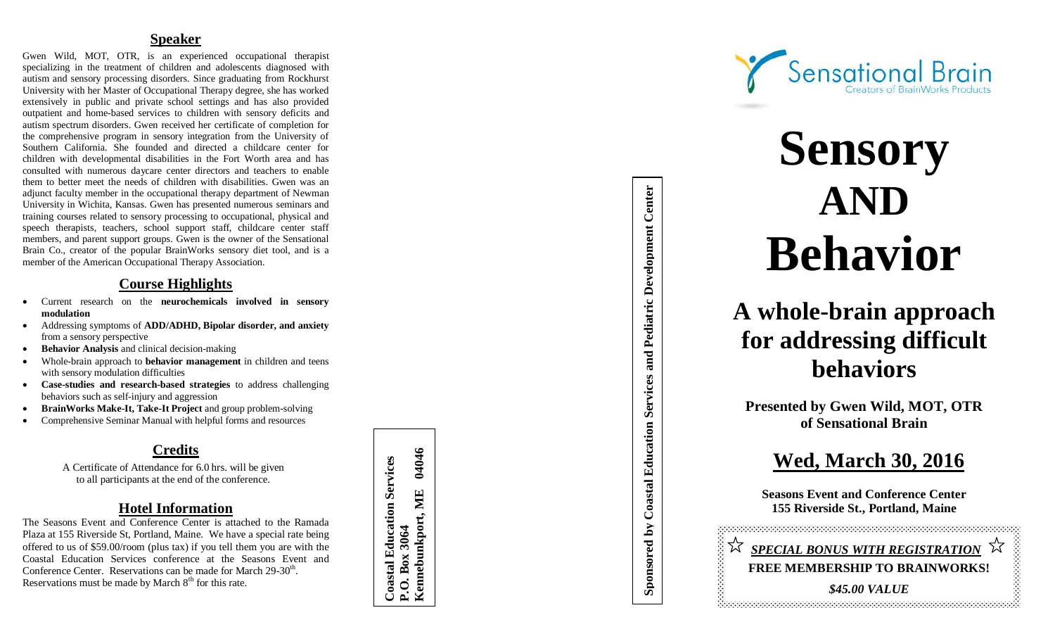# **Speaker**

Gwen Wild, MOT, OTR, is an experienced occupational therapist specializing in the treatment of children and adolescents diagnosed with autism and sensory processing disorders. Since graduating from Rockhurst University with her Master of Occupational Therapy degree, she has worked extensively in public and private school settings and has also provided outpatient and home -based services to children with sensory deficits and autism spectrum disorders. Gwen received her certificate of completion for the comprehensive program in sensory integration from the University of Southern California. She founded and directed a childcare center for children with developmental disabilities in the Fort Worth area and has consulted with numerous daycare center directors and teachers to enable them to better meet the needs of children with disabilities. Gwen was an adjunct faculty member in the occupational therapy department of Newman University in Wichita, Kansas. Gwen has presented numerous seminars and training courses related to sensory processing to occupational, physical and speech therapists, teachers, school support staff, childcare center staff members, and parent support groups. Gwen is the owner of the Sensational Brain Co., creator of the popular BrainWorks sensory diet tool, and is a member of the American Occupational Therapy Association.

# **Course Highlights**

- Current research on the **neurochemicals involved in sensory modulation**
- Addressing symptoms of **ADD/ADHD, Bipolar disorder, and anxiety** from a sensory perspective
- **•** Behavior Analysis and clinical decision-making
- Whole -brain approach to **behavior management** in children and teens with sensory modulation difficulties
- **Case -studies and research -based strategies** to address challenging behaviors such as self-injury and aggression
- **•** BrainWorks Make-It, Take-It Project and group problem-solving
- Comprehensive Seminar Manual with helpful forms and resources

# **Credits**

A Certificate of Attendance for 6.0 hrs. will be given to all participants at the end of the conference.

# **Hotel Information**

The Seasons Event and Conference Center is attached to the Ramada Plaza at 155 Riverside St, Portland, Maine. We have a special rate being offered to us of \$59.00/room (plus tax) if you tell them you are with the Coastal Education Services conference at the Seasons Event and Conference Center. Reservations can be made for March 29-30<sup>th</sup>. Reservations must be made by March  $8<sup>th</sup>$  for this rate.

04046 **Kennebunkport, ME 04046 Coastal Education Services Coastal Education Services** Kennebunkport, ME P.O. Box 3064 **P.O. Box 3064**



# **Sensory AND Behavior**

# **A whole -brain approach for addressing difficult behaviors**

**Presented by Gwen Wild, MOT, OTR of Sensational Brain**

**Sponsored by Coastal Education Services and Pediatric Development Center**

Sponsored by Coastal Education Services and Pediatric Development Center

# **Wed, March 30, 201 6**

**Seasons Event and Conference Center 155 Riverside St., Portland, Maine**

 *SPECIAL BONUS WITH REGISTRATION*  **FREE MEMBERSHIP TO BRAINWORKS!** *\$45.00 VALUE*